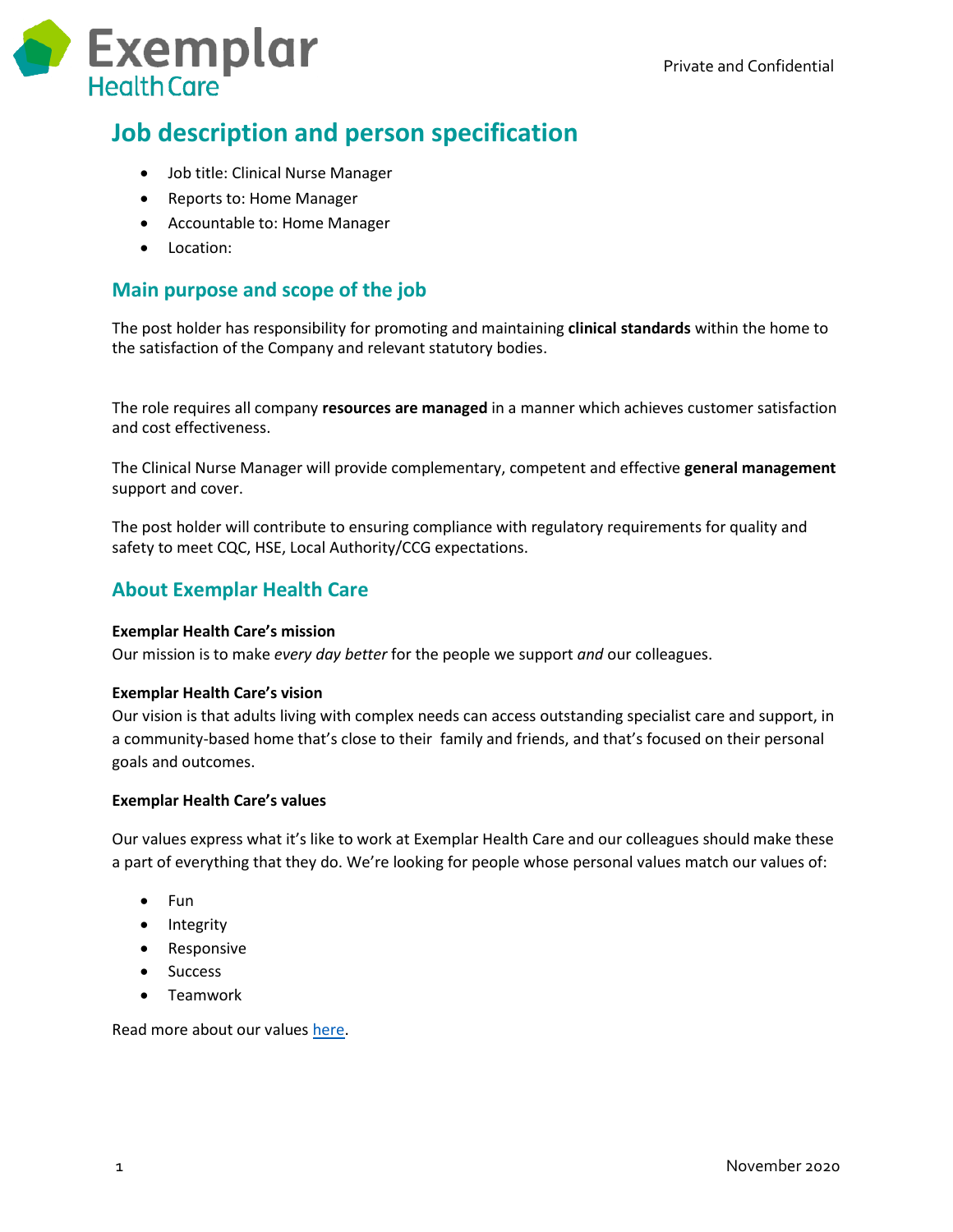

# **Job description and person specification**

- Job title: Clinical Nurse Manager
- Reports to: Home Manager
- Accountable to: Home Manager
- Location:

# **Main purpose and scope of the job**

The post holder has responsibility for promoting and maintaining **clinical standards** within the home to the satisfaction of the Company and relevant statutory bodies.

The role requires all company **resources are managed** in a manner which achieves customer satisfaction and cost effectiveness.

The Clinical Nurse Manager will provide complementary, competent and effective **general management** support and cover.

The post holder will contribute to ensuring compliance with regulatory requirements for quality and safety to meet CQC, HSE, Local Authority/CCG expectations.

# **About Exemplar Health Care**

#### **Exemplar Health Care's mission**

Our mission is to make *every day better* for the people we support *and* our colleagues.

#### **Exemplar Health Care's vision**

Our vision is that adults living with complex needs can access outstanding specialist care and support, in a community-based home that's close to their family and friends, and that's focused on their personal goals and outcomes.

#### **Exemplar Health Care's values**

Our values express what it's like to work at Exemplar Health Care and our colleagues should make these a part of everything that they do. We're looking for people whose personal values match our values of:

- $\bullet$  Fun
- Integrity
- Responsive
- Success
- Teamwork

Read more about our values [here.](https://www.exemplarhc.com/about-us/our-values)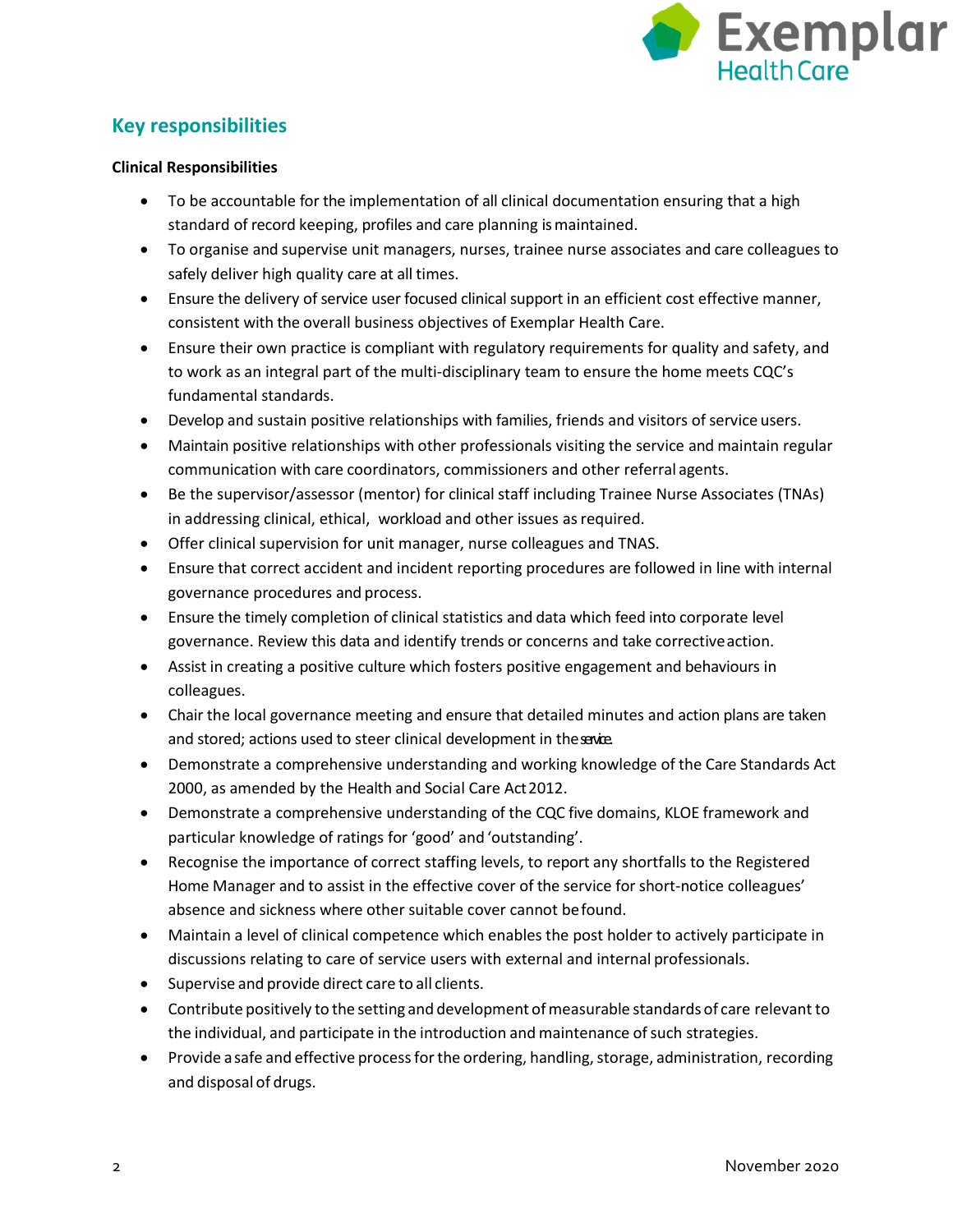

# **Key responsibilities**

#### **Clinical Responsibilities**

- To be accountable for the implementation of all clinical documentation ensuring that a high standard of record keeping, profiles and care planning ismaintained.
- To organise and supervise unit managers, nurses, trainee nurse associates and care colleagues to safely deliver high quality care at all times.
- Ensure the delivery of service user focused clinical support in an efficient cost effective manner, consistent with the overall business objectives of Exemplar Health Care.
- Ensure their own practice is compliant with regulatory requirements for quality and safety, and to work as an integral part of the multi-disciplinary team to ensure the home meets CQC's fundamental standards.
- Develop and sustain positive relationships with families, friends and visitors of service users.
- Maintain positive relationships with other professionals visiting the service and maintain regular communication with care coordinators, commissioners and other referral agents.
- Be the supervisor/assessor (mentor) for clinical staff including Trainee Nurse Associates (TNAs) in addressing clinical, ethical, workload and other issues as required.
- Offer clinical supervision for unit manager, nurse colleagues and TNAS.
- Ensure that correct accident and incident reporting procedures are followed in line with internal governance procedures and process.
- Ensure the timely completion of clinical statistics and data which feed into corporate level governance. Review this data and identify trends or concerns and take correctiveaction.
- Assist in creating a positive culture which fosters positive engagement and behaviours in colleagues.
- Chair the local governance meeting and ensure that detailed minutes and action plans are taken and stored; actions used to steer clinical development in the savie.
- Demonstrate a comprehensive understanding and working knowledge of the Care Standards Act 2000, as amended by the Health and Social Care Act2012.
- Demonstrate a comprehensive understanding of the CQC five domains, KLOE framework and particular knowledge of ratings for 'good' and 'outstanding'.
- Recognise the importance of correct staffing levels, to report any shortfalls to the Registered Home Manager and to assist in the effective cover of the service for short-notice colleagues' absence and sickness where other suitable cover cannot befound.
- Maintain a level of clinical competence which enables the post holder to actively participate in discussions relating to care of service users with external and internal professionals.
- Supervise and provide direct care to all clients.
- Contribute positively to the setting and development of measurable standards of care relevant to the individual, and participate in the introduction and maintenance of such strategies.
- Provide a safe and effective process for the ordering, handling, storage, administration, recording and disposal of drugs.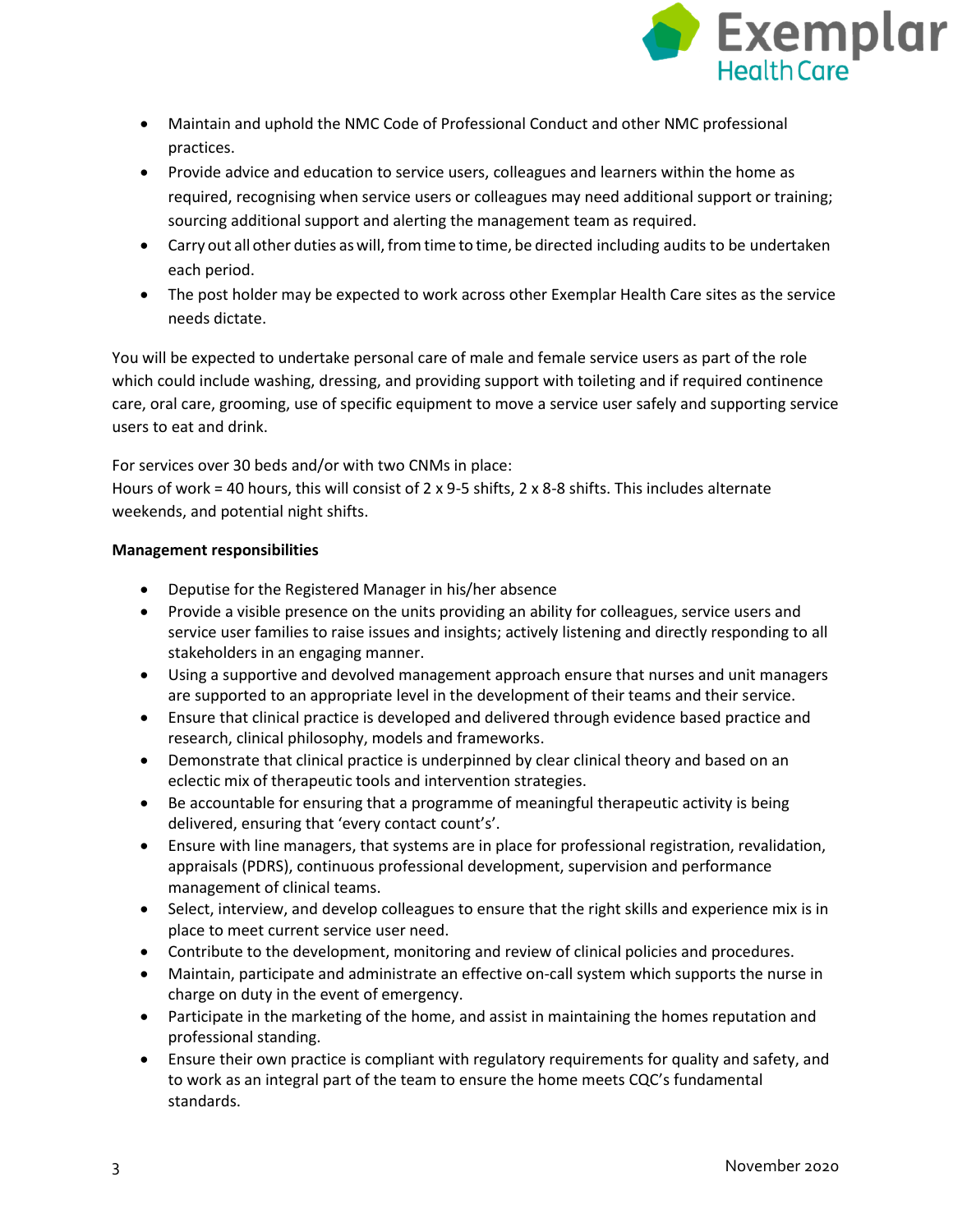

- Maintain and uphold the NMC Code of Professional Conduct and other NMC professional practices.
- Provide advice and education to service users, colleagues and learners within the home as required, recognising when service users or colleagues may need additional support or training; sourcing additional support and alerting the management team as required.
- Carry out all other duties aswill, fromtime to time, be directed including audits to be undertaken each period.
- The post holder may be expected to work across other Exemplar Health Care sites as the service needs dictate.

You will be expected to undertake personal care of male and female service users as part of the role which could include washing, dressing, and providing support with toileting and if required continence care, oral care, grooming, use of specific equipment to move a service user safely and supporting service users to eat and drink.

For services over 30 beds and/or with two CNMs in place:

Hours of work = 40 hours, this will consist of 2 x 9-5 shifts, 2 x 8-8 shifts. This includes alternate weekends, and potential night shifts.

#### **Management responsibilities**

- Deputise for the Registered Manager in his/her absence
- Provide a visible presence on the units providing an ability for colleagues, service users and service user families to raise issues and insights; actively listening and directly responding to all stakeholders in an engaging manner.
- Using a supportive and devolved management approach ensure that nurses and unit managers are supported to an appropriate level in the development of their teams and their service.
- Ensure that clinical practice is developed and delivered through evidence based practice and research, clinical philosophy, models and frameworks.
- Demonstrate that clinical practice is underpinned by clear clinical theory and based on an eclectic mix of therapeutic tools and intervention strategies.
- Be accountable for ensuring that a programme of meaningful therapeutic activity is being delivered, ensuring that 'every contact count's'.
- Ensure with line managers, that systems are in place for professional registration, revalidation, appraisals (PDRS), continuous professional development, supervision and performance management of clinical teams.
- Select, interview, and develop colleagues to ensure that the right skills and experience mix is in place to meet current service user need.
- Contribute to the development, monitoring and review of clinical policies and procedures.
- Maintain, participate and administrate an effective on-call system which supports the nurse in charge on duty in the event of emergency.
- Participate in the marketing of the home, and assist in maintaining the homes reputation and professional standing.
- Ensure their own practice is compliant with regulatory requirements for quality and safety, and to work as an integral part of the team to ensure the home meets CQC's fundamental standards.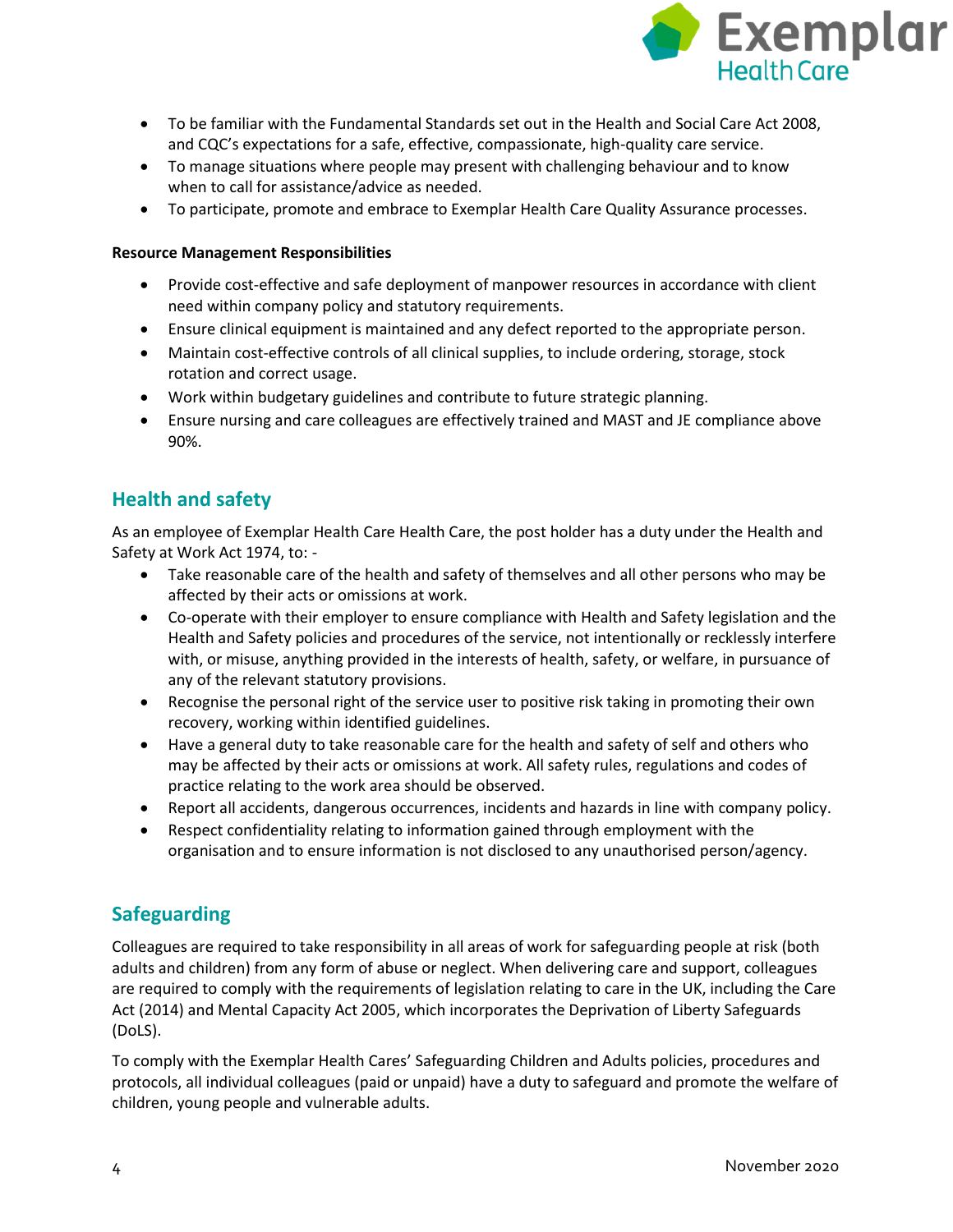

- To be familiar with the Fundamental Standards set out in the Health and Social Care Act 2008, and CQC's expectations for a safe, effective, compassionate, high-quality care service.
- To manage situations where people may present with challenging behaviour and to know when to call for assistance/advice as needed.
- To participate, promote and embrace to Exemplar Health Care Quality Assurance processes.

#### **Resource Management Responsibilities**

- Provide cost-effective and safe deployment of manpower resources in accordance with client need within company policy and statutory requirements.
- Ensure clinical equipment is maintained and any defect reported to the appropriate person.
- Maintain cost-effective controls of all clinical supplies, to include ordering, storage, stock rotation and correct usage.
- Work within budgetary guidelines and contribute to future strategic planning.
- Ensure nursing and care colleagues are effectively trained and MAST and JE compliance above 90%.

# **Health and safety**

As an employee of Exemplar Health Care Health Care, the post holder has a duty under the Health and Safety at Work Act 1974, to: -

- Take reasonable care of the health and safety of themselves and all other persons who may be affected by their acts or omissions at work.
- Co-operate with their employer to ensure compliance with Health and Safety legislation and the Health and Safety policies and procedures of the service, not intentionally or recklessly interfere with, or misuse, anything provided in the interests of health, safety, or welfare, in pursuance of any of the relevant statutory provisions.
- Recognise the personal right of the service user to positive risk taking in promoting their own recovery, working within identified guidelines.
- Have a general duty to take reasonable care for the health and safety of self and others who may be affected by their acts or omissions at work. All safety rules, regulations and codes of practice relating to the work area should be observed.
- Report all accidents, dangerous occurrences, incidents and hazards in line with company policy.
- Respect confidentiality relating to information gained through employment with the organisation and to ensure information is not disclosed to any unauthorised person/agency.

# **Safeguarding**

Colleagues are required to take responsibility in all areas of work for safeguarding people at risk (both adults and children) from any form of abuse or neglect. When delivering care and support, colleagues are required to comply with the requirements of legislation relating to care in the UK, including the Care Act (2014) and Mental Capacity Act 2005, which incorporates the Deprivation of Liberty Safeguards (DoLS).

To comply with the Exemplar Health Cares' Safeguarding Children and Adults policies, procedures and protocols, all individual colleagues (paid or unpaid) have a duty to safeguard and promote the welfare of children, young people and vulnerable adults.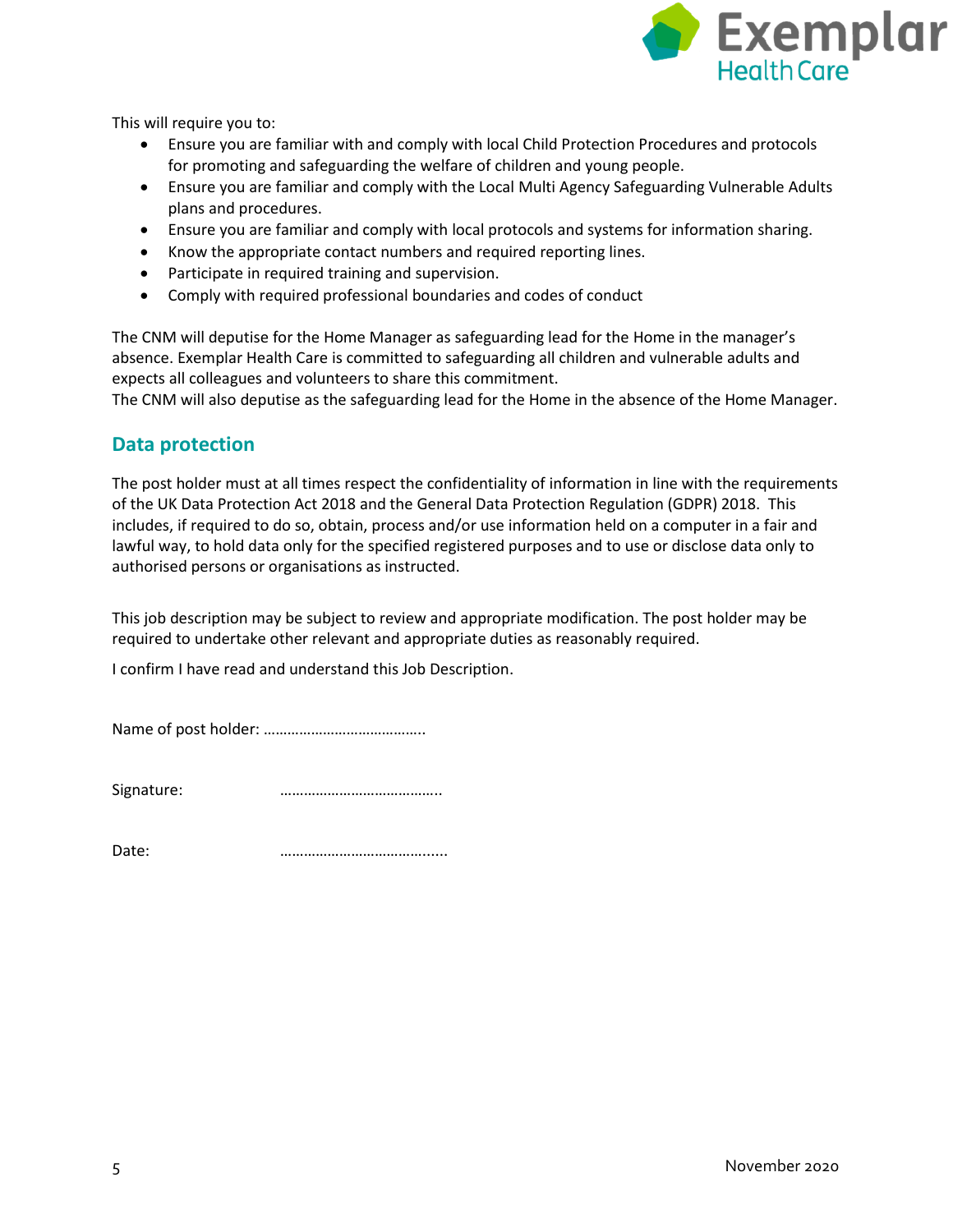

This will require you to:

- Ensure you are familiar with and comply with local Child Protection Procedures and protocols for promoting and safeguarding the welfare of children and young people.
- Ensure you are familiar and comply with the Local Multi Agency Safeguarding Vulnerable Adults plans and procedures.
- Ensure you are familiar and comply with local protocols and systems for information sharing.
- Know the appropriate contact numbers and required reporting lines.
- Participate in required training and supervision.
- Comply with required professional boundaries and codes of conduct

The CNM will deputise for the Home Manager as safeguarding lead for the Home in the manager's absence. Exemplar Health Care is committed to safeguarding all children and vulnerable adults and expects all colleagues and volunteers to share this commitment.

The CNM will also deputise as the safeguarding lead for the Home in the absence of the Home Manager.

### **Data protection**

The post holder must at all times respect the confidentiality of information in line with the requirements of the UK Data Protection Act 2018 and the General Data Protection Regulation (GDPR) 2018. This includes, if required to do so, obtain, process and/or use information held on a computer in a fair and lawful way, to hold data only for the specified registered purposes and to use or disclose data only to authorised persons or organisations as instructed.

This job description may be subject to review and appropriate modification. The post holder may be required to undertake other relevant and appropriate duties as reasonably required.

I confirm I have read and understand this Job Description.

Name of post holder: …………………………………..

Signature: **manufature with the manufature with the manufature with the signature with the signature with the signature with the signature signature with the signature signature signature signature**

Date: **manufacturer 2010 2020 2020 2020 2020 2020 2020 2020 2020 2020 2020 2020 2020 2020 2020 2020 2020 2020 2020 2020 2020 2020 2020 2020 2020 2020 2020 2020 2020**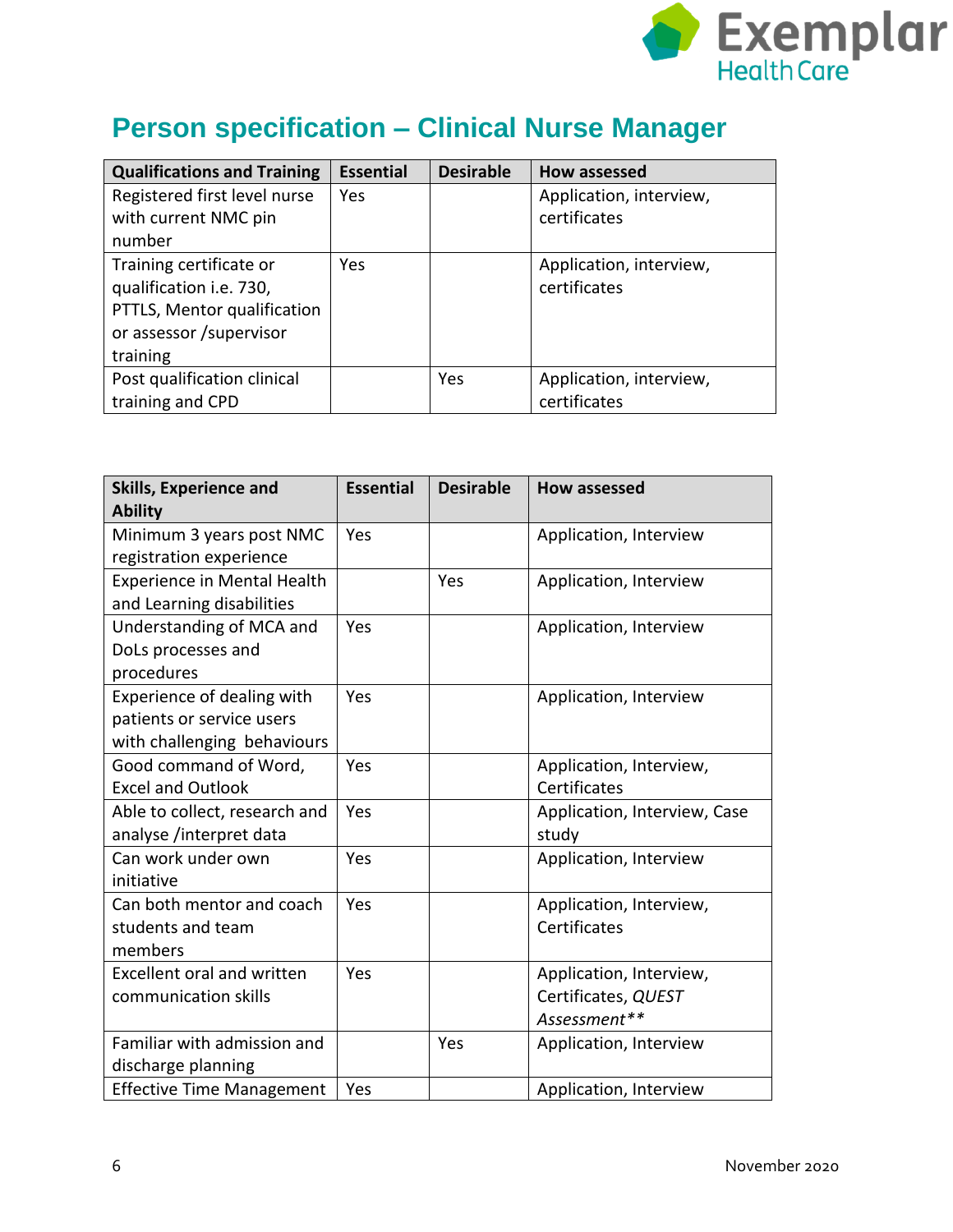

# **Person specification – Clinical Nurse Manager**

| <b>Qualifications and Training</b> | <b>Essential</b> | <b>Desirable</b> | How assessed            |
|------------------------------------|------------------|------------------|-------------------------|
| Registered first level nurse       | <b>Yes</b>       |                  | Application, interview, |
| with current NMC pin               |                  |                  | certificates            |
| number                             |                  |                  |                         |
| Training certificate or            | Yes.             |                  | Application, interview, |
| qualification i.e. 730,            |                  |                  | certificates            |
| PTTLS, Mentor qualification        |                  |                  |                         |
| or assessor /supervisor            |                  |                  |                         |
| training                           |                  |                  |                         |
| Post qualification clinical        |                  | Yes              | Application, interview, |
| training and CPD                   |                  |                  | certificates            |

| <b>Skills, Experience and</b><br><b>Ability</b>                                        | <b>Essential</b> | <b>Desirable</b> | <b>How assessed</b>                                            |
|----------------------------------------------------------------------------------------|------------------|------------------|----------------------------------------------------------------|
| Minimum 3 years post NMC<br>registration experience                                    | Yes              |                  | Application, Interview                                         |
| <b>Experience in Mental Health</b><br>and Learning disabilities                        |                  | Yes              | Application, Interview                                         |
| Understanding of MCA and<br>DoLs processes and<br>procedures                           | Yes              |                  | Application, Interview                                         |
| Experience of dealing with<br>patients or service users<br>with challenging behaviours | Yes              |                  | Application, Interview                                         |
| Good command of Word,<br><b>Excel and Outlook</b>                                      | Yes              |                  | Application, Interview,<br>Certificates                        |
| Able to collect, research and<br>analyse /interpret data                               | Yes              |                  | Application, Interview, Case<br>study                          |
| Can work under own<br>initiative                                                       | Yes              |                  | Application, Interview                                         |
| Can both mentor and coach<br>students and team<br>members                              | Yes              |                  | Application, Interview,<br>Certificates                        |
| <b>Excellent oral and written</b><br>communication skills                              | Yes              |                  | Application, Interview,<br>Certificates, QUEST<br>Assessment** |
| Familiar with admission and<br>discharge planning                                      |                  | Yes              | Application, Interview                                         |
| <b>Effective Time Management</b>                                                       | Yes              |                  | Application, Interview                                         |